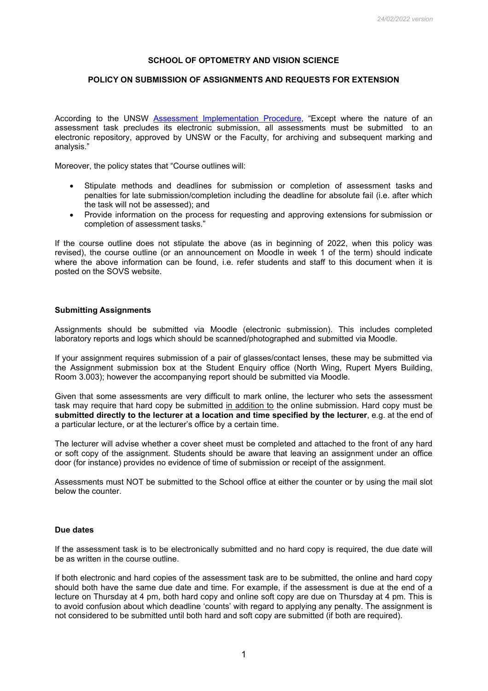# **SCHOOL OF OPTOMETRY AND VISION SCIENCE**

## **POLICY ON SUBMISSION OF ASSIGNMENTS AND REQUESTS FOR EXTENSION**

According to the UNSW [Assessment Implementation Procedure,](https://www.gs.unsw.edu.au/policy/documents/assessmentimplementationprocedure.pdf) "Except where the nature of an assessment task precludes its electronic submission, all assessments must be submitted to an electronic repository, approved by UNSW or the Faculty, for archiving and subsequent marking and analysis."

Moreover, the policy states that "Course outlines will:

- Stipulate methods and deadlines for submission or completion of assessment tasks and penalties for late submission/completion including the deadline for absolute fail (i.e. after which the task will not be assessed); and
- Provide information on the process for requesting and approving extensions for submission or completion of assessment tasks."

If the course outline does not stipulate the above (as in beginning of 2022, when this policy was revised), the course outline (or an announcement on Moodle in week 1 of the term) should indicate where the above information can be found, i.e. refer students and staff to this document when it is posted on the SOVS website.

### **Submitting Assignments**

Assignments should be submitted via Moodle (electronic submission). This includes completed laboratory reports and logs which should be scanned/photographed and submitted via Moodle.

If your assignment requires submission of a pair of glasses/contact lenses, these may be submitted via the Assignment submission box at the Student Enquiry office (North Wing, Rupert Myers Building, Room 3.003); however the accompanying report should be submitted via Moodle.

Given that some assessments are very difficult to mark online, the lecturer who sets the assessment task may require that hard copy be submitted in addition to the online submission. Hard copy must be **submitted directly to the lecturer at a location and time specified by the lecturer**, e.g. at the end of a particular lecture, or at the lecturer's office by a certain time.

The lecturer will advise whether a cover sheet must be completed and attached to the front of any hard or soft copy of the assignment. Students should be aware that leaving an assignment under an office door (for instance) provides no evidence of time of submission or receipt of the assignment.

Assessments must NOT be submitted to the School office at either the counter or by using the mail slot below the counter.

#### **Due dates**

If the assessment task is to be electronically submitted and no hard copy is required, the due date will be as written in the course outline.

If both electronic and hard copies of the assessment task are to be submitted, the online and hard copy should both have the same due date and time. For example, if the assessment is due at the end of a lecture on Thursday at 4 pm, both hard copy and online soft copy are due on Thursday at 4 pm. This is to avoid confusion about which deadline 'counts' with regard to applying any penalty. The assignment is not considered to be submitted until both hard and soft copy are submitted (if both are required).